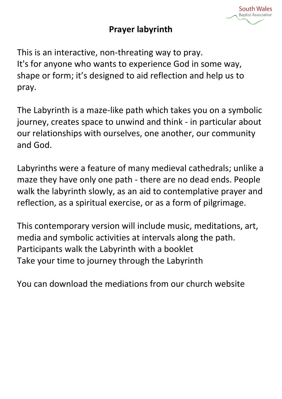#### **South Wales Baptist Association**

#### **Prayer labyrinth**

This is an interactive, non-threating way to pray. It's for anyone who wants to experience God in some way, shape or form; it's designed to aid reflection and help us to pray.

The Labyrinth is a maze-like path which takes you on a symbolic journey, creates space to unwind and think - in particular about our relationships with ourselves, one another, our community and God.

Labyrinths were a feature of many medieval cathedrals; unlike a maze they have only one path - there are no dead ends. People walk the labyrinth slowly, as an aid to contemplative prayer and reflection, as a spiritual exercise, or as a form of pilgrimage.

This contemporary version will include music, meditations, art, media and symbolic activities at intervals along the path. Participants walk the Labyrinth with a booklet Take your time to journey through the Labyrinth

You can download the mediations from our church website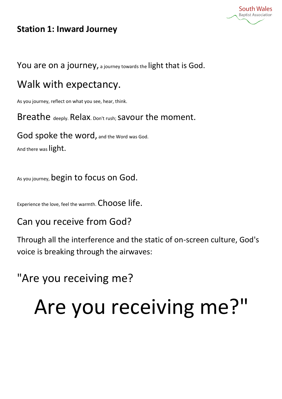

#### **Station 1: Inward Journey**

You are on a journey, a journey towards the light that is God.

#### Walk with expectancy.

As you journey, reflect on what you see, hear, think.

Breathe deeply. Relax. Don't rush; savour the moment.

God spoke the word, and the Word was God. And there was light.

As you journey, begin to focus on God.

Experience the love, feel the warmth. Choose life.

#### Can you receive from God?

Through all the interference and the static of on-screen culture, God's voice is breaking through the airwaves:

#### "Are you receiving me?

# Are you receiving me?"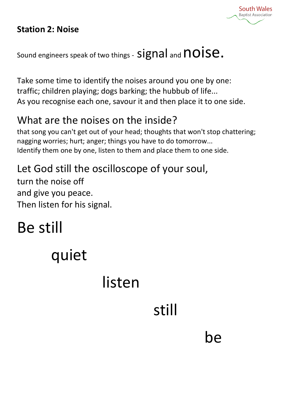#### **Station 2: Noise**



Sound engineers speak of two things -  $signal$  and  $\textsf{noise}.$ 

Take some time to identify the noises around you one by one: traffic; children playing; dogs barking; the hubbub of life... As you recognise each one, savour it and then place it to one side.

#### What are the noises on the inside?

that song you can't get out of your head; thoughts that won't stop chattering; nagging worries; hurt; anger; things you have to do tomorrow... Identify them one by one, listen to them and place them to one side.

#### Let God still the oscilloscope of your soul,

turn the noise off and give you peace. Then listen for his signal.

## Be still

## quiet

## listen

## still

### be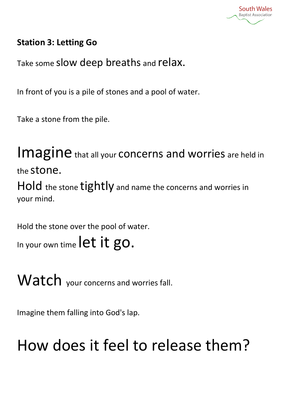

#### **Station 3: Letting Go**

Take some slow deep breaths and relax.

In front of you is a pile of stones and a pool of water.

Take a stone from the pile.

Imagine that all your concerns and worries are held in the stone.

Hold the stone tightly and name the concerns and worries in your mind.

Hold the stone over the pool of water. In your own time let it go.

Watch your concerns and worries fall.

Imagine them falling into God's lap.

## How does it feel to release them?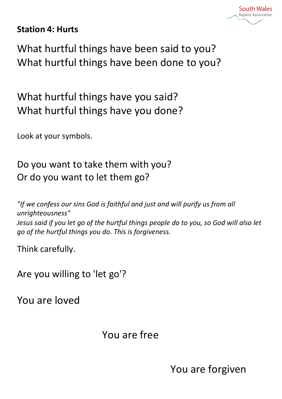

#### **Station 4: Hurts**

What hurtful things have been said to you? What hurtful things have been done to you?

What hurtful things have you said? What hurtful things have you done?

Look at your symbols.

Do you want to take them with you? Or do you want to let them go?

*"If we confess our sins God is faithful and just and will purify us from all unrighteousness" Jesus said if you let go of the hurtful things people do to you, so God will also let go of the hurtful things you do. This is forgiveness.*

Think carefully.

Are you willing to 'let go'?

You are loved

You are free

You are forgiven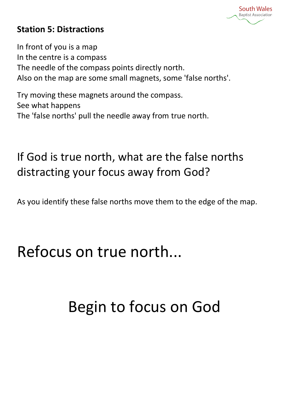**South Wales Bantist Associatio** 

#### **Station 5: Distractions**

In front of you is a map In the centre is a compass The needle of the compass points directly north. Also on the map are some small magnets, some 'false norths'.

Try moving these magnets around the compass. See what happens The 'false norths' pull the needle away from true north.

If God is true north, what are the false norths distracting your focus away from God?

As you identify these false norths move them to the edge of the map.

Refocus on true north...

## Begin to focus on God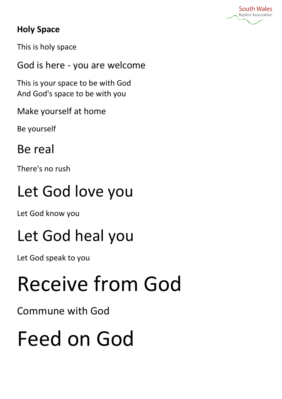

#### **Holy Space**

This is holy space

God is here - you are welcome

This is your space to be with God And God's space to be with you

Make yourself at home

Be yourself

Be real

There's no rush

## Let God love you

Let God know you

## Let God heal you

Let God speak to you

# Receive from God

Commune with God

# Feed on God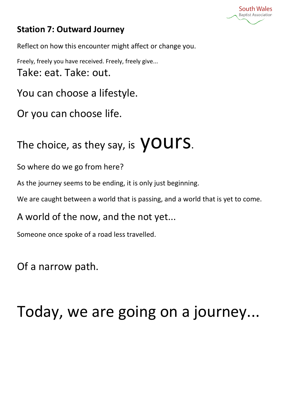

#### **Station 7: Outward Journey**

Reflect on how this encounter might affect or change you.

Freely, freely you have received. Freely, freely give... Take: eat. Take: out.

You can choose a lifestyle.

Or you can choose life.

## The choice, as they say, is  $\sqrt{OUIS}$ .

So where do we go from here?

As the journey seems to be ending, it is only just beginning.

We are caught between a world that is passing, and a world that is yet to come.

A world of the now, and the not yet...

Someone once spoke of a road less travelled.

Of a narrow path.

## Today, we are going on a journey...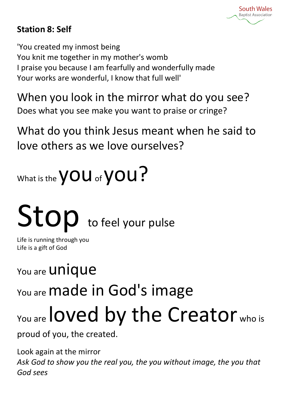

#### **Station 8: Self**

'You created my inmost being You knit me together in my mother's womb I praise you because I am fearfully and wonderfully made Your works are wonderful, I know that full well'

When you look in the mirror what do you see? Does what you see make you want to praise or cringe?

What do you think Jesus meant when he said to love others as we love ourselves?



# Stop to feel your pulse

Life is running through you Life is a gift of God

You are **Unique** 

You are **made in God's image** 

# You are loved by the Creator who is

proud of you, the created.

Look again at the mirror *Ask God to show you the real you, the you without image, the you that God sees*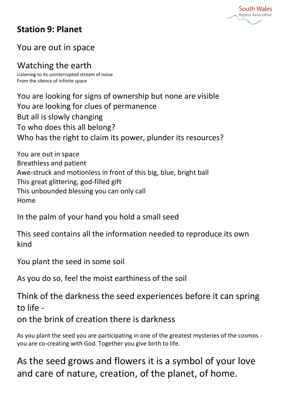

#### **Station 9: Planet**

#### You are out in space

Watching the earth

Listening to its uninterrupted stream of noise From the silence of infinite space

You are looking for signs of ownership but none are visible You are looking for clues of permanence But all is slowly changing To who does this all belong? Who has the right to claim its power, plunder its resources?

You are out in space Breathless and patient Awe-struck and motionless in front of this big, blue, bright ball This great glittering, god-filled gift This unbounded blessing you can only call Home

In the palm of your hand you hold a small seed

This seed contains all the information needed to reproduce its own kind

You plant the seed in some soil

As you do so, feel the moist earthiness of the soil

Think of the darkness the seed experiences before it can spring to life -

on the brink of creation there is darkness

As you plant the seed you are participating in one of the greatest mysteries of the cosmos you are co-creating with God. Together you give birth to life.

As the seed grows and flowers it is a symbol of your love and care of nature, creation, of the planet, of home.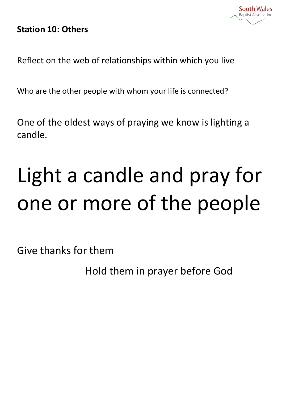#### **Station 10: Others**

Reflect on the web of relationships within which you live

Who are the other people with whom your life is connected?

One of the oldest ways of praying we know is lighting a candle.

# Light a candle and pray for one or more of the people

Give thanks for them

Hold them in prayer before God